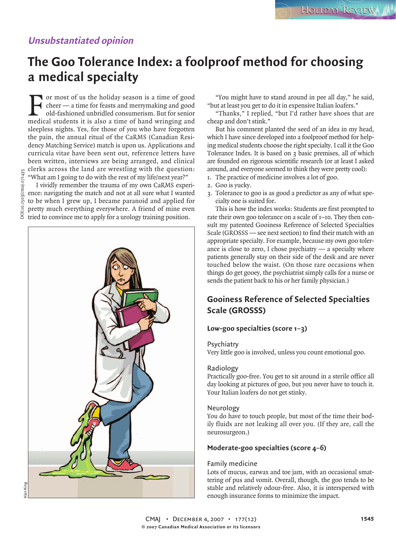## **Unsubstantiated opinion**

# **The Goo Tolerance Index: a foolproof method for choosing a medical specialty**

F or most of us the holiday season is a time of good cheer — a time for feasts and merrymaking and good old-fashioned unbridled consumerism. But for senior medical students it is also a time of hand wringing and sleepless nights. Yes, for those of you who have forgotten the pain, the annual ritual of the CaRMS (Canadian Residency Matching Service) match is upon us. Applications and curricula vitae have been sent out, reference letters have been written, interviews are being arranged, and clinical clerks across the land are wrestling with the question: "What am I going to do with the rest of my life/next year?"

I vividly remember the trauma of my own CaRMS experience: navigating the match and not at all sure what I wanted to be when I grew up, I became paranoid and applied for pretty much everything everywhere. A friend of mine even  $\frac{\pi}{6}$  pretty much everywhere to apply for a urology training position.



"You might have to stand around in pee all day," he said, "but at least you get to do it in expensive Italian loafers."

"Thanks," I replied, "but I'd rather have shoes that are cheap and don't stink."

But his comment planted the seed of an idea in my head, which I have since developed into a foolproof method for helping medical students choose the right specialty. I call it the Goo Tolerance Index. It is based on 3 basic premises, all of which are founded on rigorous scientific research (or at least I asked around, and everyone seemed to think they were pretty cool):

- 1. The practice of medicine involves a lot of goo.
- 2. Goo is yucky.
- 3. Tolerance to goo is as good a predictor as any of what specialty one is suited for.

This is how the index works: Students are first prompted to rate their own goo tolerance on a scale of 1–10. They then consult my patented Gooiness Reference of Selected Specialties Scale (GROSSS — see next section) to find their match with an appropriate specialty. For example, because my own goo tolerance is close to zero, I chose psychiatry  $-$  a specialty where patients generally stay on their side of the desk and are never touched below the waist. (On those rare occasions when things do get gooey, the psychiatrist simply calls for a nurse or sends the patient back to his or her family physician.)

## **Gooiness Reference of Selected Specialties Scale (GROSSS)**

#### **Low-goo specialties (score 1–3)**

#### **Psychiatry**

Very little goo is involved, unless you count emotional goo.

#### Radiology

Practically goo-free. You get to sit around in a sterile office all day looking at pictures of goo, but you never have to touch it. Your Italian loafers do not get stinky.

#### Neurology

You do have to touch people, but most of the time their bodily fluids are not leaking all over you. (If they are, call the neurosurgeon.)

#### **Moderate-goo specialties (score 4–6)**

#### Family medicine

Lots of mucus, earwax and toe jam, with an occasional smattering of pus and vomit. Overall, though, the goo tends to be stable and relatively odour-free. Also, it is interspersed with enough insurance forms to minimize the impact.